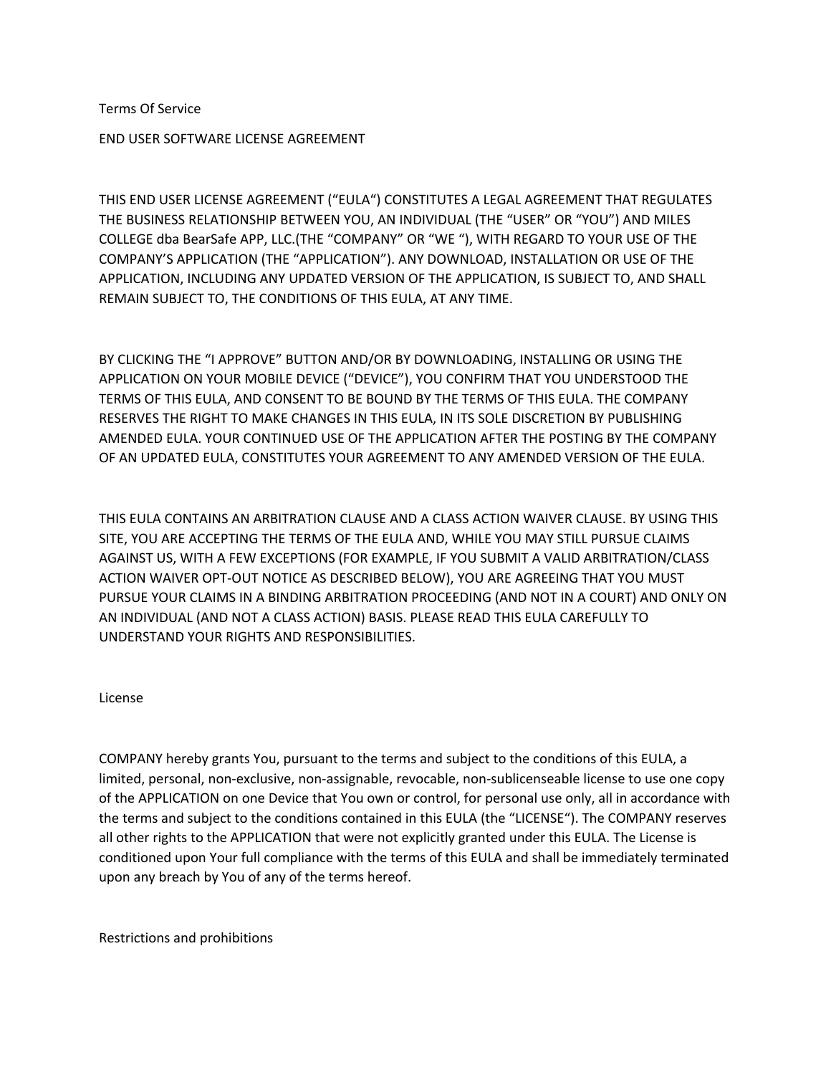Terms Of Service

END USER SOFTWARE LICENSE AGREEMENT

THIS END USER LICENSE AGREEMENT ("EULA") CONSTITUTES A LEGAL AGREEMENT THAT REGULATES THE BUSINESS RELATIONSHIP BETWEEN YOU, AN INDIVIDUAL (THE "USER" OR "YOU") AND MILES COLLEGE dba BearSafe APP, LLC.(THE "COMPANY" OR "WE "), WITH REGARD TO YOUR USE OF THE COMPANY'S APPLICATION (THE "APPLICATION"). ANY DOWNLOAD, INSTALLATION OR USE OF THE APPLICATION, INCLUDING ANY UPDATED VERSION OF THE APPLICATION, IS SUBJECT TO, AND SHALL REMAIN SUBJECT TO, THE CONDITIONS OF THIS EULA, AT ANY TIME.

BY CLICKING THE "I APPROVE" BUTTON AND/OR BY DOWNLOADING, INSTALLING OR USING THE APPLICATION ON YOUR MOBILE DEVICE ("DEVICE"), YOU CONFIRM THAT YOU UNDERSTOOD THE TERMS OF THIS EULA, AND CONSENT TO BE BOUND BY THE TERMS OF THIS EULA. THE COMPANY RESERVES THE RIGHT TO MAKE CHANGES IN THIS EULA, IN ITS SOLE DISCRETION BY PUBLISHING AMENDED EULA. YOUR CONTINUED USE OF THE APPLICATION AFTER THE POSTING BY THE COMPANY OF AN UPDATED EULA, CONSTITUTES YOUR AGREEMENT TO ANY AMENDED VERSION OF THE EULA.

THIS EULA CONTAINS AN ARBITRATION CLAUSE AND A CLASS ACTION WAIVER CLAUSE. BY USING THIS SITE, YOU ARE ACCEPTING THE TERMS OF THE EULA AND, WHILE YOU MAY STILL PURSUE CLAIMS AGAINST US, WITH A FEW EXCEPTIONS (FOR EXAMPLE, IF YOU SUBMIT A VALID ARBITRATION/CLASS ACTION WAIVER OPT-OUT NOTICE AS DESCRIBED BELOW), YOU ARE AGREEING THAT YOU MUST PURSUE YOUR CLAIMS IN A BINDING ARBITRATION PROCEEDING (AND NOT IN A COURT) AND ONLY ON AN INDIVIDUAL (AND NOT A CLASS ACTION) BASIS. PLEASE READ THIS EULA CAREFULLY TO UNDERSTAND YOUR RIGHTS AND RESPONSIBILITIES.

#### License

COMPANY hereby grants You, pursuant to the terms and subject to the conditions of this EULA, a limited, personal, non-exclusive, non-assignable, revocable, non-sublicenseable license to use one copy of the APPLICATION on one Device that You own or control, for personal use only, all in accordance with the terms and subject to the conditions contained in this EULA (the "LICENSE"). The COMPANY reserves all other rights to the APPLICATION that were not explicitly granted under this EULA. The License is conditioned upon Your full compliance with the terms of this EULA and shall be immediately terminated upon any breach by You of any of the terms hereof.

Restrictions and prohibitions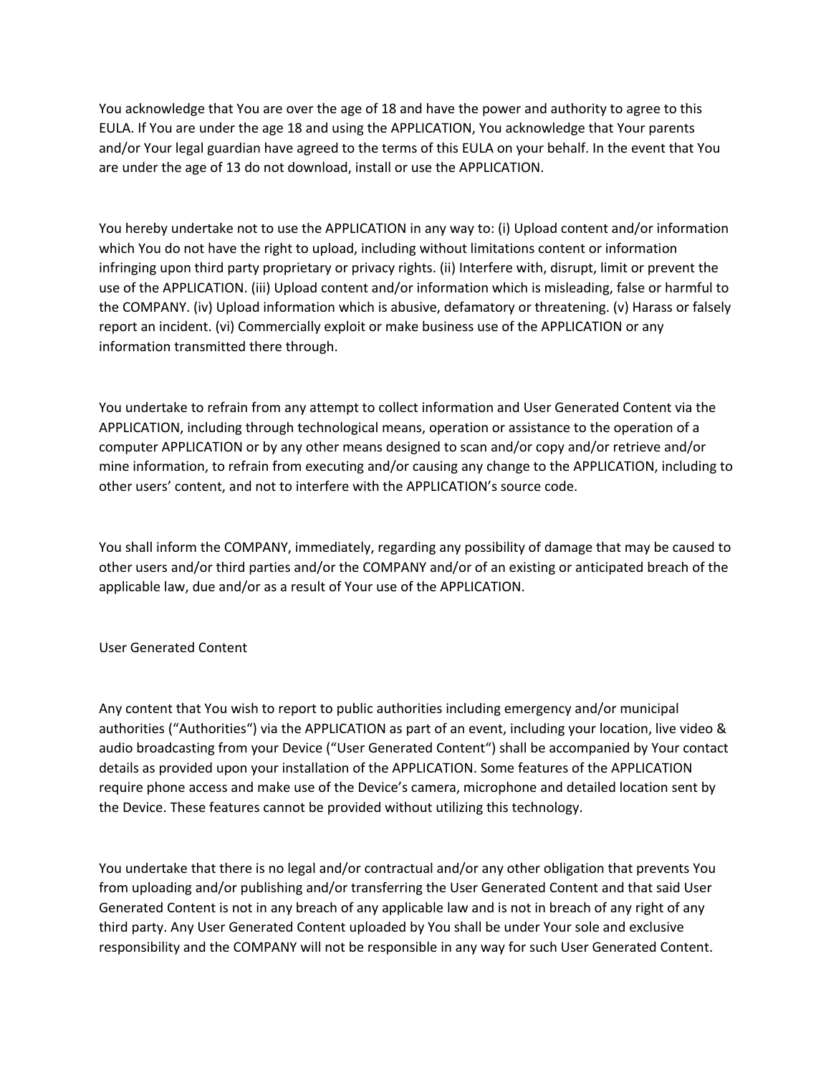You acknowledge that You are over the age of 18 and have the power and authority to agree to this EULA. If You are under the age 18 and using the APPLICATION, You acknowledge that Your parents and/or Your legal guardian have agreed to the terms of this EULA on your behalf. In the event that You are under the age of 13 do not download, install or use the APPLICATION.

You hereby undertake not to use the APPLICATION in any way to: (i) Upload content and/or information which You do not have the right to upload, including without limitations content or information infringing upon third party proprietary or privacy rights. (ii) Interfere with, disrupt, limit or prevent the use of the APPLICATION. (iii) Upload content and/or information which is misleading, false or harmful to the COMPANY. (iv) Upload information which is abusive, defamatory or threatening. (v) Harass or falsely report an incident. (vi) Commercially exploit or make business use of the APPLICATION or any information transmitted there through.

You undertake to refrain from any attempt to collect information and User Generated Content via the APPLICATION, including through technological means, operation or assistance to the operation of a computer APPLICATION or by any other means designed to scan and/or copy and/or retrieve and/or mine information, to refrain from executing and/or causing any change to the APPLICATION, including to other users' content, and not to interfere with the APPLICATION's source code.

You shall inform the COMPANY, immediately, regarding any possibility of damage that may be caused to other users and/or third parties and/or the COMPANY and/or of an existing or anticipated breach of the applicable law, due and/or as a result of Your use of the APPLICATION.

# User Generated Content

Any content that You wish to report to public authorities including emergency and/or municipal authorities ("Authorities") via the APPLICATION as part of an event, including your location, live video & audio broadcasting from your Device ("User Generated Content") shall be accompanied by Your contact details as provided upon your installation of the APPLICATION. Some features of the APPLICATION require phone access and make use of the Device's camera, microphone and detailed location sent by the Device. These features cannot be provided without utilizing this technology.

You undertake that there is no legal and/or contractual and/or any other obligation that prevents You from uploading and/or publishing and/or transferring the User Generated Content and that said User Generated Content is not in any breach of any applicable law and is not in breach of any right of any third party. Any User Generated Content uploaded by You shall be under Your sole and exclusive responsibility and the COMPANY will not be responsible in any way for such User Generated Content.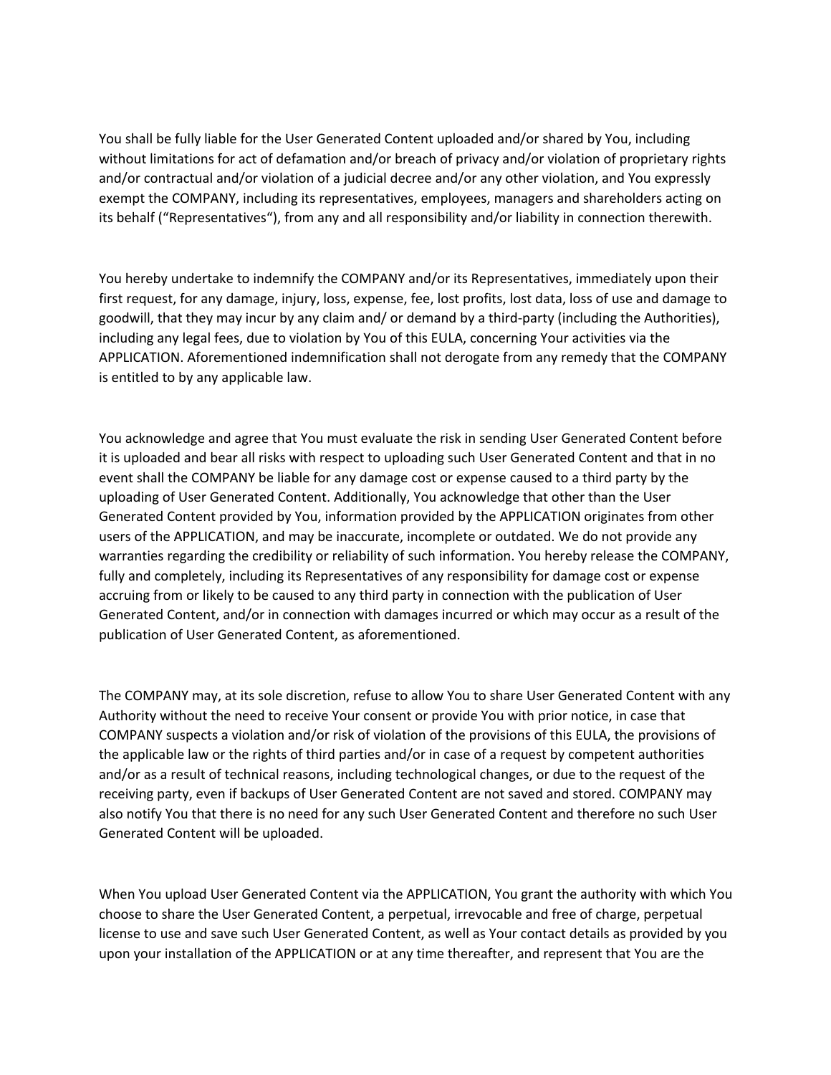You shall be fully liable for the User Generated Content uploaded and/or shared by You, including without limitations for act of defamation and/or breach of privacy and/or violation of proprietary rights and/or contractual and/or violation of a judicial decree and/or any other violation, and You expressly exempt the COMPANY, including its representatives, employees, managers and shareholders acting on its behalf ("Representatives"), from any and all responsibility and/or liability in connection therewith.

You hereby undertake to indemnify the COMPANY and/or its Representatives, immediately upon their first request, for any damage, injury, loss, expense, fee, lost profits, lost data, loss of use and damage to goodwill, that they may incur by any claim and/ or demand by a third-party (including the Authorities), including any legal fees, due to violation by You of this EULA, concerning Your activities via the APPLICATION. Aforementioned indemnification shall not derogate from any remedy that the COMPANY is entitled to by any applicable law.

You acknowledge and agree that You must evaluate the risk in sending User Generated Content before it is uploaded and bear all risks with respect to uploading such User Generated Content and that in no event shall the COMPANY be liable for any damage cost or expense caused to a third party by the uploading of User Generated Content. Additionally, You acknowledge that other than the User Generated Content provided by You, information provided by the APPLICATION originates from other users of the APPLICATION, and may be inaccurate, incomplete or outdated. We do not provide any warranties regarding the credibility or reliability of such information. You hereby release the COMPANY, fully and completely, including its Representatives of any responsibility for damage cost or expense accruing from or likely to be caused to any third party in connection with the publication of User Generated Content, and/or in connection with damages incurred or which may occur as a result of the publication of User Generated Content, as aforementioned.

The COMPANY may, at its sole discretion, refuse to allow You to share User Generated Content with any Authority without the need to receive Your consent or provide You with prior notice, in case that COMPANY suspects a violation and/or risk of violation of the provisions of this EULA, the provisions of the applicable law or the rights of third parties and/or in case of a request by competent authorities and/or as a result of technical reasons, including technological changes, or due to the request of the receiving party, even if backups of User Generated Content are not saved and stored. COMPANY may also notify You that there is no need for any such User Generated Content and therefore no such User Generated Content will be uploaded.

When You upload User Generated Content via the APPLICATION, You grant the authority with which You choose to share the User Generated Content, a perpetual, irrevocable and free of charge, perpetual license to use and save such User Generated Content, as well as Your contact details as provided by you upon your installation of the APPLICATION or at any time thereafter, and represent that You are the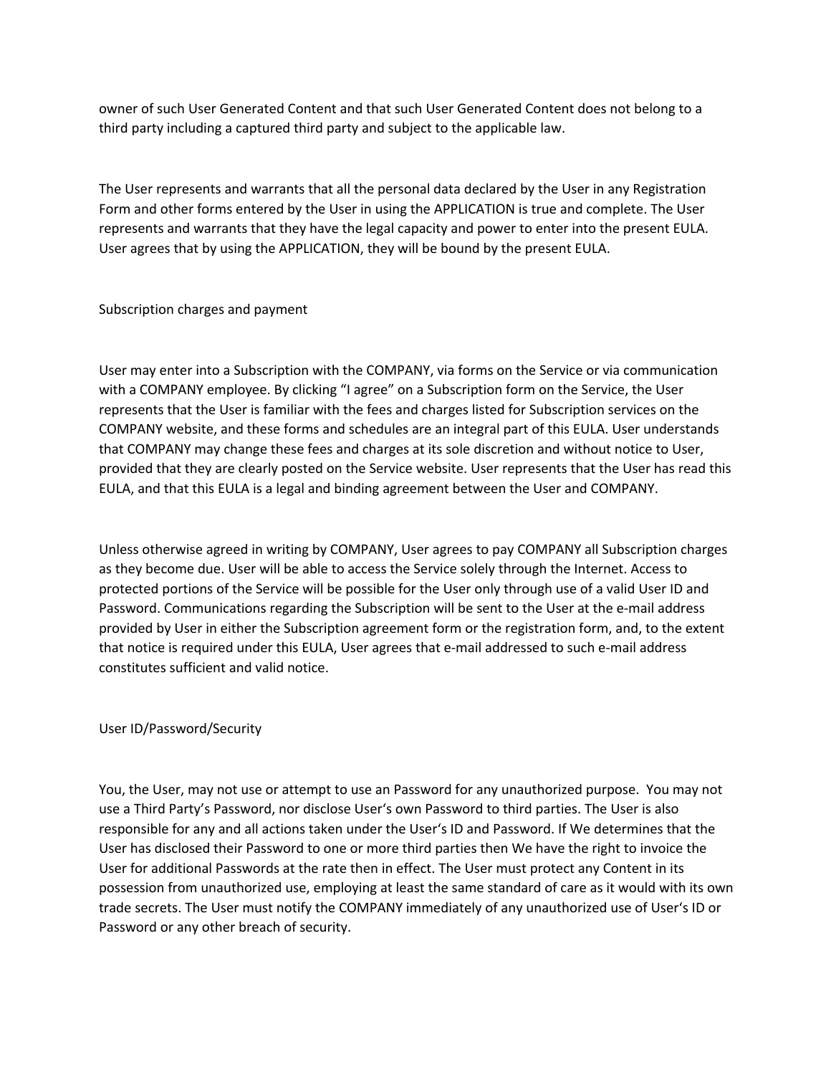owner of such User Generated Content and that such User Generated Content does not belong to a third party including a captured third party and subject to the applicable law.

The User represents and warrants that all the personal data declared by the User in any Registration Form and other forms entered by the User in using the APPLICATION is true and complete. The User represents and warrants that they have the legal capacity and power to enter into the present EULA. User agrees that by using the APPLICATION, they will be bound by the present EULA.

## Subscription charges and payment

User may enter into a Subscription with the COMPANY, via forms on the Service or via communication with a COMPANY employee. By clicking "I agree" on a Subscription form on the Service, the User represents that the User is familiar with the fees and charges listed for Subscription services on the COMPANY website, and these forms and schedules are an integral part of this EULA. User understands that COMPANY may change these fees and charges at its sole discretion and without notice to User, provided that they are clearly posted on the Service website. User represents that the User has read this EULA, and that this EULA is a legal and binding agreement between the User and COMPANY.

Unless otherwise agreed in writing by COMPANY, User agrees to pay COMPANY all Subscription charges as they become due. User will be able to access the Service solely through the Internet. Access to protected portions of the Service will be possible for the User only through use of a valid User ID and Password. Communications regarding the Subscription will be sent to the User at the e-mail address provided by User in either the Subscription agreement form or the registration form, and, to the extent that notice is required under this EULA, User agrees that e-mail addressed to such e-mail address constitutes sufficient and valid notice.

# User ID/Password/Security

You, the User, may not use or attempt to use an Password for any unauthorized purpose. You may not use a Third Party's Password, nor disclose User's own Password to third parties. The User is also responsible for any and all actions taken under the User's ID and Password. If We determines that the User has disclosed their Password to one or more third parties then We have the right to invoice the User for additional Passwords at the rate then in effect. The User must protect any Content in its possession from unauthorized use, employing at least the same standard of care as it would with its own trade secrets. The User must notify the COMPANY immediately of any unauthorized use of User's ID or Password or any other breach of security.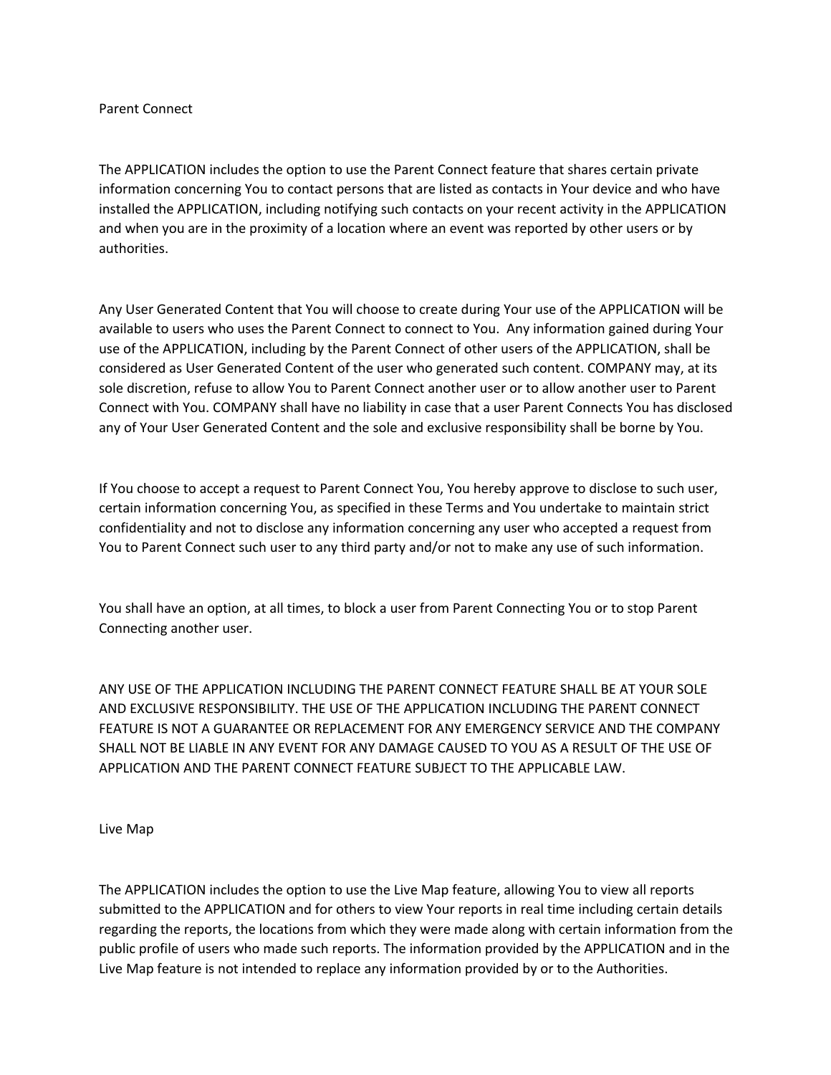## Parent Connect

The APPLICATION includes the option to use the Parent Connect feature that shares certain private information concerning You to contact persons that are listed as contacts in Your device and who have installed the APPLICATION, including notifying such contacts on your recent activity in the APPLICATION and when you are in the proximity of a location where an event was reported by other users or by authorities.

Any User Generated Content that You will choose to create during Your use of the APPLICATION will be available to users who uses the Parent Connect to connect to You. Any information gained during Your use of the APPLICATION, including by the Parent Connect of other users of the APPLICATION, shall be considered as User Generated Content of the user who generated such content. COMPANY may, at its sole discretion, refuse to allow You to Parent Connect another user or to allow another user to Parent Connect with You. COMPANY shall have no liability in case that a user Parent Connects You has disclosed any of Your User Generated Content and the sole and exclusive responsibility shall be borne by You.

If You choose to accept a request to Parent Connect You, You hereby approve to disclose to such user, certain information concerning You, as specified in these Terms and You undertake to maintain strict confidentiality and not to disclose any information concerning any user who accepted a request from You to Parent Connect such user to any third party and/or not to make any use of such information.

You shall have an option, at all times, to block a user from Parent Connecting You or to stop Parent Connecting another user.

ANY USE OF THE APPLICATION INCLUDING THE PARENT CONNECT FEATURE SHALL BE AT YOUR SOLE AND EXCLUSIVE RESPONSIBILITY. THE USE OF THE APPLICATION INCLUDING THE PARENT CONNECT FEATURE IS NOT A GUARANTEE OR REPLACEMENT FOR ANY EMERGENCY SERVICE AND THE COMPANY SHALL NOT BE LIABLE IN ANY EVENT FOR ANY DAMAGE CAUSED TO YOU AS A RESULT OF THE USE OF APPLICATION AND THE PARENT CONNECT FEATURE SUBJECT TO THE APPLICABLE LAW.

Live Map

The APPLICATION includes the option to use the Live Map feature, allowing You to view all reports submitted to the APPLICATION and for others to view Your reports in real time including certain details regarding the reports, the locations from which they were made along with certain information from the public profile of users who made such reports. The information provided by the APPLICATION and in the Live Map feature is not intended to replace any information provided by or to the Authorities.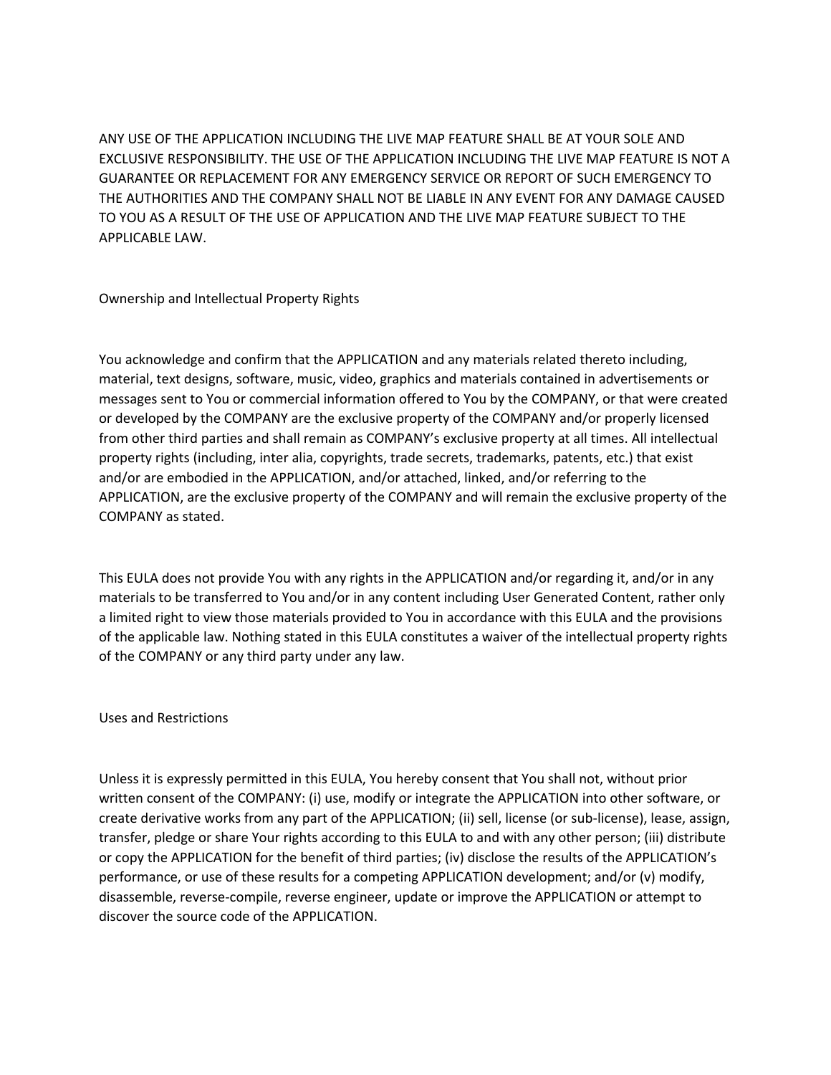ANY USE OF THE APPLICATION INCLUDING THE LIVE MAP FEATURE SHALL BE AT YOUR SOLE AND EXCLUSIVE RESPONSIBILITY. THE USE OF THE APPLICATION INCLUDING THE LIVE MAP FEATURE IS NOT A GUARANTEE OR REPLACEMENT FOR ANY EMERGENCY SERVICE OR REPORT OF SUCH EMERGENCY TO THE AUTHORITIES AND THE COMPANY SHALL NOT BE LIABLE IN ANY EVENT FOR ANY DAMAGE CAUSED TO YOU AS A RESULT OF THE USE OF APPLICATION AND THE LIVE MAP FEATURE SUBJECT TO THE APPLICABLE LAW.

Ownership and Intellectual Property Rights

You acknowledge and confirm that the APPLICATION and any materials related thereto including, material, text designs, software, music, video, graphics and materials contained in advertisements or messages sent to You or commercial information offered to You by the COMPANY, or that were created or developed by the COMPANY are the exclusive property of the COMPANY and/or properly licensed from other third parties and shall remain as COMPANY's exclusive property at all times. All intellectual property rights (including, inter alia, copyrights, trade secrets, trademarks, patents, etc.) that exist and/or are embodied in the APPLICATION, and/or attached, linked, and/or referring to the APPLICATION, are the exclusive property of the COMPANY and will remain the exclusive property of the COMPANY as stated.

This EULA does not provide You with any rights in the APPLICATION and/or regarding it, and/or in any materials to be transferred to You and/or in any content including User Generated Content, rather only a limited right to view those materials provided to You in accordance with this EULA and the provisions of the applicable law. Nothing stated in this EULA constitutes a waiver of the intellectual property rights of the COMPANY or any third party under any law.

Uses and Restrictions

Unless it is expressly permitted in this EULA, You hereby consent that You shall not, without prior written consent of the COMPANY: (i) use, modify or integrate the APPLICATION into other software, or create derivative works from any part of the APPLICATION; (ii) sell, license (or sub-license), lease, assign, transfer, pledge or share Your rights according to this EULA to and with any other person; (iii) distribute or copy the APPLICATION for the benefit of third parties; (iv) disclose the results of the APPLICATION's performance, or use of these results for a competing APPLICATION development; and/or (v) modify, disassemble, reverse-compile, reverse engineer, update or improve the APPLICATION or attempt to discover the source code of the APPLICATION.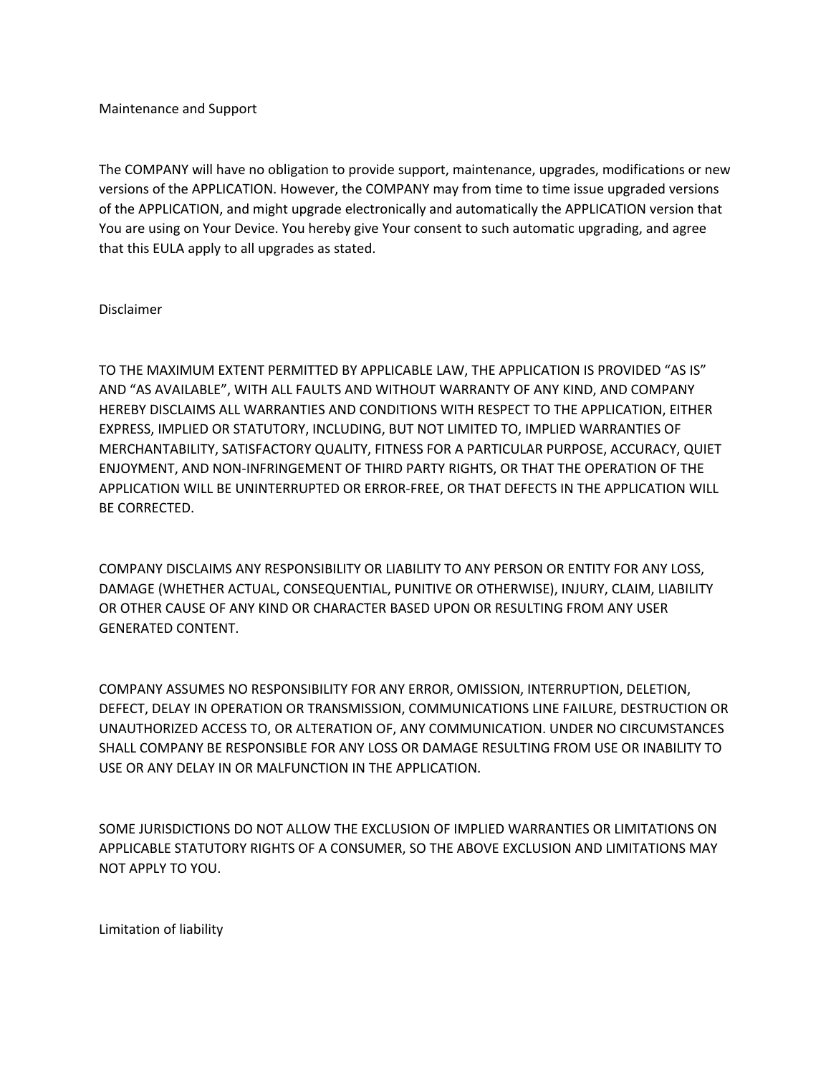Maintenance and Support

The COMPANY will have no obligation to provide support, maintenance, upgrades, modifications or new versions of the APPLICATION. However, the COMPANY may from time to time issue upgraded versions of the APPLICATION, and might upgrade electronically and automatically the APPLICATION version that You are using on Your Device. You hereby give Your consent to such automatic upgrading, and agree that this EULA apply to all upgrades as stated.

## Disclaimer

TO THE MAXIMUM EXTENT PERMITTED BY APPLICABLE LAW, THE APPLICATION IS PROVIDED "AS IS" AND "AS AVAILABLE", WITH ALL FAULTS AND WITHOUT WARRANTY OF ANY KIND, AND COMPANY HEREBY DISCLAIMS ALL WARRANTIES AND CONDITIONS WITH RESPECT TO THE APPLICATION, EITHER EXPRESS, IMPLIED OR STATUTORY, INCLUDING, BUT NOT LIMITED TO, IMPLIED WARRANTIES OF MERCHANTABILITY, SATISFACTORY QUALITY, FITNESS FOR A PARTICULAR PURPOSE, ACCURACY, QUIET ENJOYMENT, AND NON-INFRINGEMENT OF THIRD PARTY RIGHTS, OR THAT THE OPERATION OF THE APPLICATION WILL BE UNINTERRUPTED OR ERROR-FREE, OR THAT DEFECTS IN THE APPLICATION WILL BE CORRECTED.

COMPANY DISCLAIMS ANY RESPONSIBILITY OR LIABILITY TO ANY PERSON OR ENTITY FOR ANY LOSS, DAMAGE (WHETHER ACTUAL, CONSEQUENTIAL, PUNITIVE OR OTHERWISE), INJURY, CLAIM, LIABILITY OR OTHER CAUSE OF ANY KIND OR CHARACTER BASED UPON OR RESULTING FROM ANY USER GENERATED CONTENT.

COMPANY ASSUMES NO RESPONSIBILITY FOR ANY ERROR, OMISSION, INTERRUPTION, DELETION, DEFECT, DELAY IN OPERATION OR TRANSMISSION, COMMUNICATIONS LINE FAILURE, DESTRUCTION OR UNAUTHORIZED ACCESS TO, OR ALTERATION OF, ANY COMMUNICATION. UNDER NO CIRCUMSTANCES SHALL COMPANY BE RESPONSIBLE FOR ANY LOSS OR DAMAGE RESULTING FROM USE OR INABILITY TO USE OR ANY DELAY IN OR MALFUNCTION IN THE APPLICATION.

SOME JURISDICTIONS DO NOT ALLOW THE EXCLUSION OF IMPLIED WARRANTIES OR LIMITATIONS ON APPLICABLE STATUTORY RIGHTS OF A CONSUMER, SO THE ABOVE EXCLUSION AND LIMITATIONS MAY NOT APPLY TO YOU.

Limitation of liability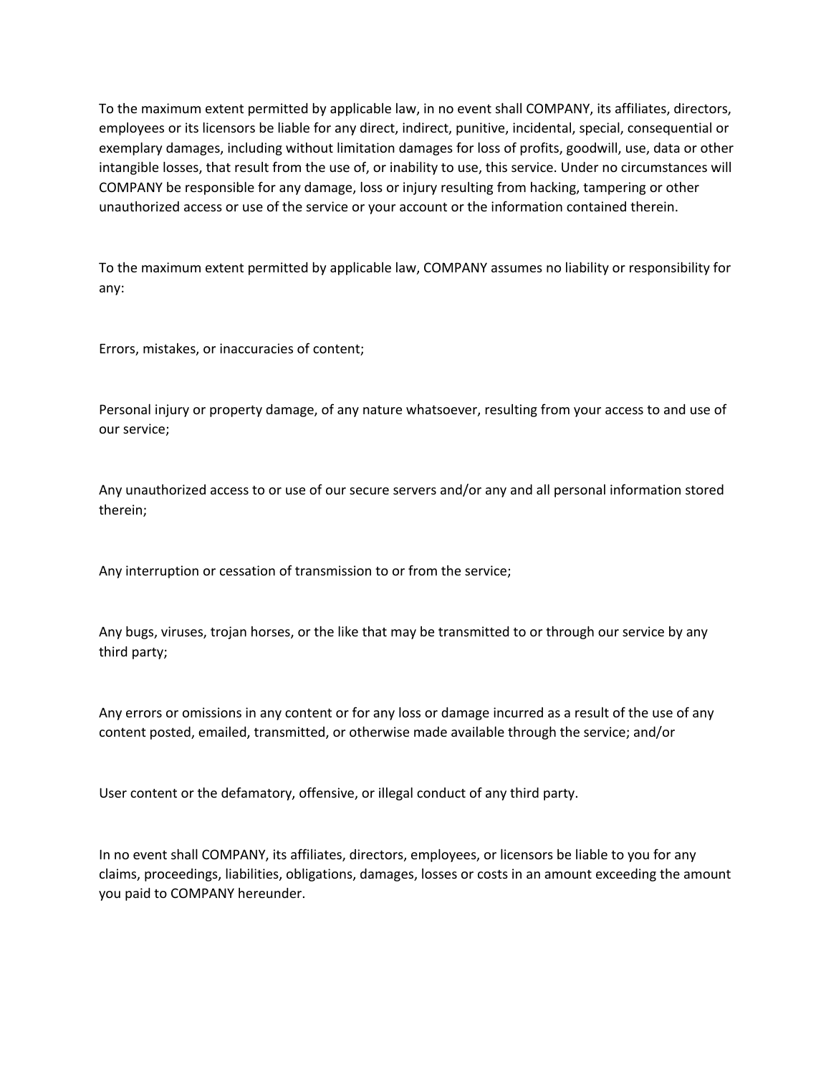To the maximum extent permitted by applicable law, in no event shall COMPANY, its affiliates, directors, employees or its licensors be liable for any direct, indirect, punitive, incidental, special, consequential or exemplary damages, including without limitation damages for loss of profits, goodwill, use, data or other intangible losses, that result from the use of, or inability to use, this service. Under no circumstances will COMPANY be responsible for any damage, loss or injury resulting from hacking, tampering or other unauthorized access or use of the service or your account or the information contained therein.

To the maximum extent permitted by applicable law, COMPANY assumes no liability or responsibility for any:

Errors, mistakes, or inaccuracies of content;

Personal injury or property damage, of any nature whatsoever, resulting from your access to and use of our service;

Any unauthorized access to or use of our secure servers and/or any and all personal information stored therein;

Any interruption or cessation of transmission to or from the service;

Any bugs, viruses, trojan horses, or the like that may be transmitted to or through our service by any third party;

Any errors or omissions in any content or for any loss or damage incurred as a result of the use of any content posted, emailed, transmitted, or otherwise made available through the service; and/or

User content or the defamatory, offensive, or illegal conduct of any third party.

In no event shall COMPANY, its affiliates, directors, employees, or licensors be liable to you for any claims, proceedings, liabilities, obligations, damages, losses or costs in an amount exceeding the amount you paid to COMPANY hereunder.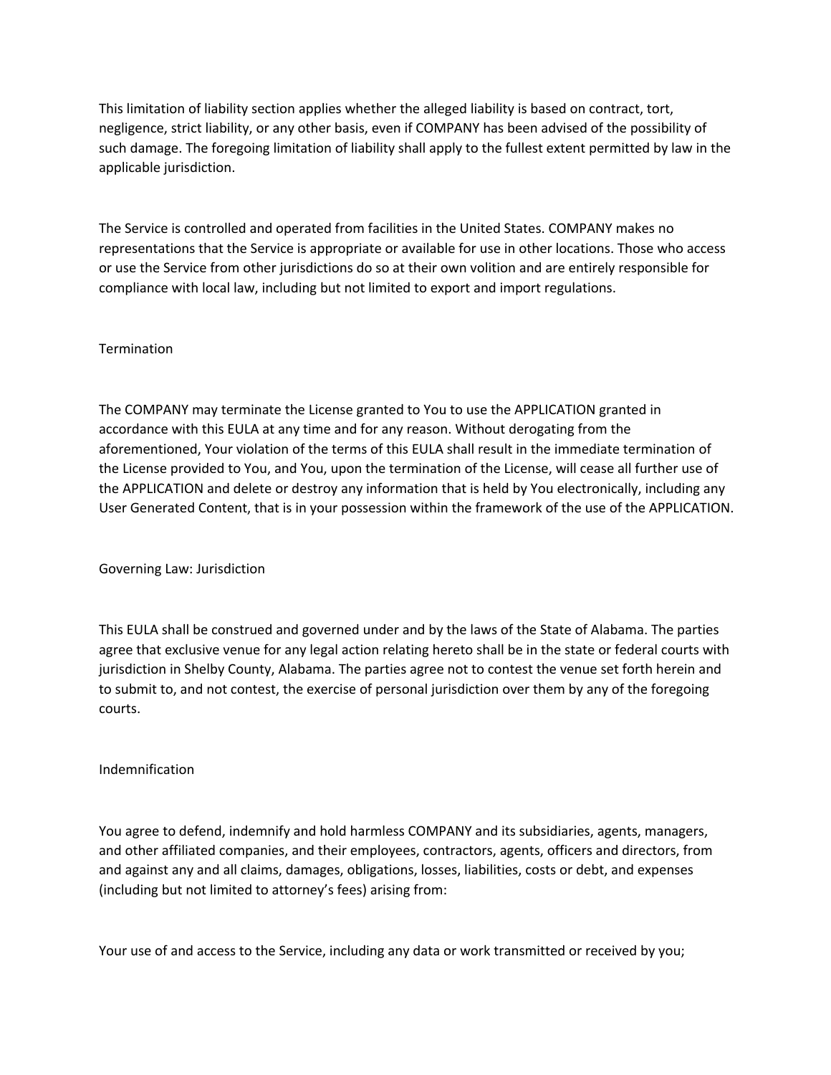This limitation of liability section applies whether the alleged liability is based on contract, tort, negligence, strict liability, or any other basis, even if COMPANY has been advised of the possibility of such damage. The foregoing limitation of liability shall apply to the fullest extent permitted by law in the applicable jurisdiction.

The Service is controlled and operated from facilities in the United States. COMPANY makes no representations that the Service is appropriate or available for use in other locations. Those who access or use the Service from other jurisdictions do so at their own volition and are entirely responsible for compliance with local law, including but not limited to export and import regulations.

# Termination

The COMPANY may terminate the License granted to You to use the APPLICATION granted in accordance with this EULA at any time and for any reason. Without derogating from the aforementioned, Your violation of the terms of this EULA shall result in the immediate termination of the License provided to You, and You, upon the termination of the License, will cease all further use of the APPLICATION and delete or destroy any information that is held by You electronically, including any User Generated Content, that is in your possession within the framework of the use of the APPLICATION.

Governing Law: Jurisdiction

This EULA shall be construed and governed under and by the laws of the State of Alabama. The parties agree that exclusive venue for any legal action relating hereto shall be in the state or federal courts with jurisdiction in Shelby County, Alabama. The parties agree not to contest the venue set forth herein and to submit to, and not contest, the exercise of personal jurisdiction over them by any of the foregoing courts.

#### Indemnification

You agree to defend, indemnify and hold harmless COMPANY and its subsidiaries, agents, managers, and other affiliated companies, and their employees, contractors, agents, officers and directors, from and against any and all claims, damages, obligations, losses, liabilities, costs or debt, and expenses (including but not limited to attorney's fees) arising from:

Your use of and access to the Service, including any data or work transmitted or received by you;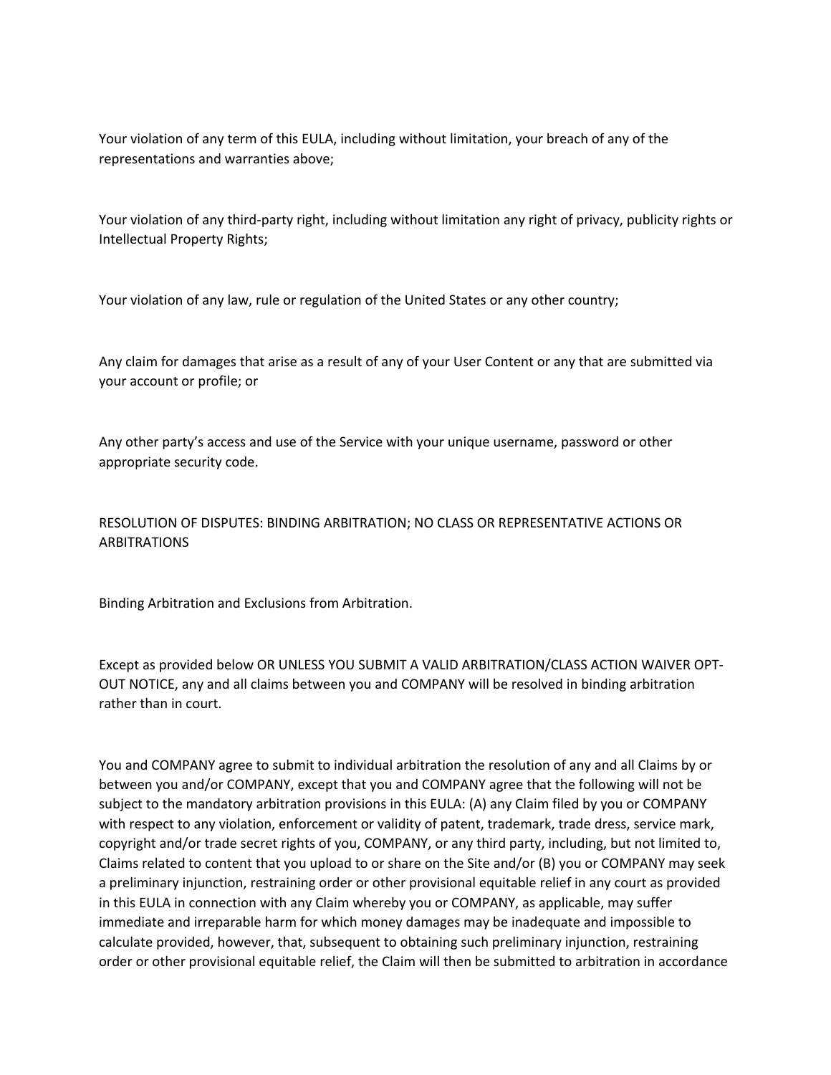Your violation of any term of this EULA, including without limitation, your breach of any of the representations and warranties above;

Your violation of any third-party right, including without limitation any right of privacy, publicity rights or Intellectual Property Rights;

Your violation of any law, rule or regulation of the United States or any other country;

Any claim for damages that arise as a result of any of your User Content or any that are submitted via your account or profile; or

Any other party's access and use of the Service with your unique username, password or other appropriate security code.

# RESOLUTION OF DISPUTES: BINDING ARBITRATION; NO CLASS OR REPRESENTATIVE ACTIONS OR ARBITRATIONS

Binding Arbitration and Exclusions from Arbitration.

Except as provided below OR UNLESS YOU SUBMIT A VALID ARBITRATION/CLASS ACTION WAIVER OPT-OUT NOTICE, any and all claims between you and COMPANY will be resolved in binding arbitration rather than in court.

You and COMPANY agree to submit to individual arbitration the resolution of any and all Claims by or between you and/or COMPANY, except that you and COMPANY agree that the following will not be subject to the mandatory arbitration provisions in this EULA: (A) any Claim filed by you or COMPANY with respect to any violation, enforcement or validity of patent, trademark, trade dress, service mark, copyright and/or trade secret rights of you, COMPANY, or any third party, including, but not limited to, Claims related to content that you upload to or share on the Site and/or (B) you or COMPANY may seek a preliminary injunction, restraining order or other provisional equitable relief in any court as provided in this EULA in connection with any Claim whereby you or COMPANY, as applicable, may suffer immediate and irreparable harm for which money damages may be inadequate and impossible to calculate provided, however, that, subsequent to obtaining such preliminary injunction, restraining order or other provisional equitable relief, the Claim will then be submitted to arbitration in accordance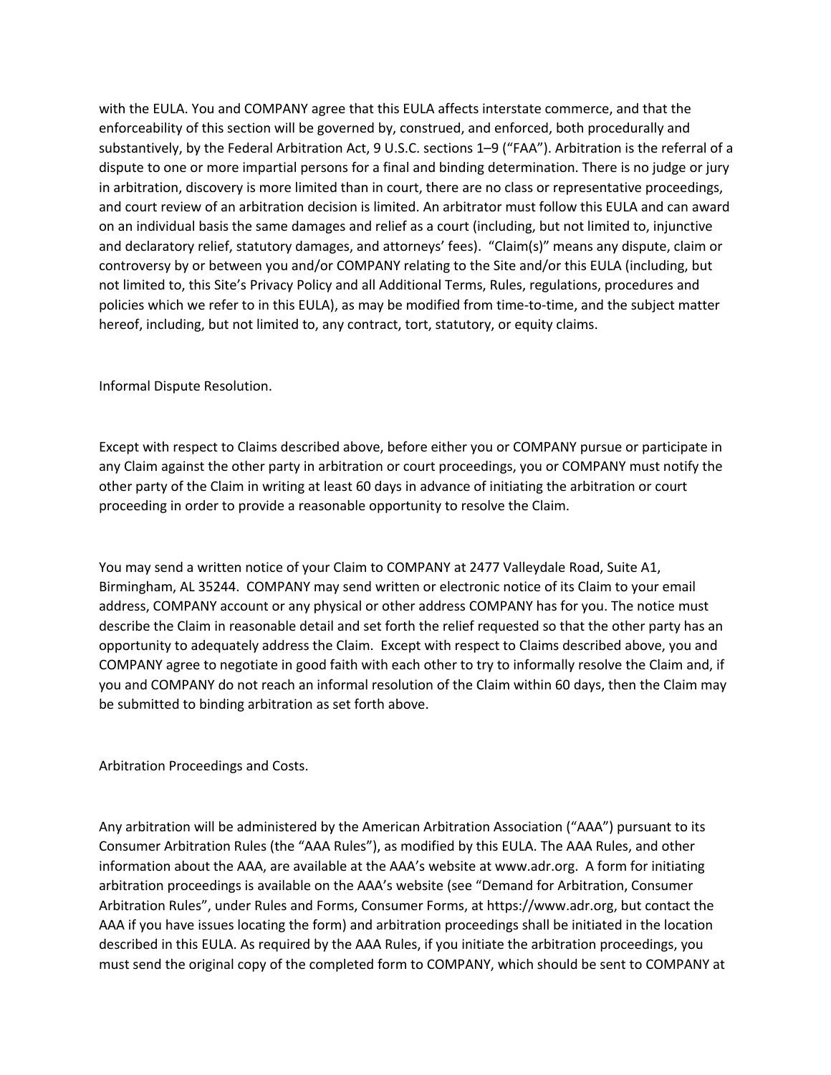with the EULA. You and COMPANY agree that this EULA affects interstate commerce, and that the enforceability of this section will be governed by, construed, and enforced, both procedurally and substantively, by the Federal Arbitration Act, 9 U.S.C. sections 1–9 ("FAA"). Arbitration is the referral of a dispute to one or more impartial persons for a final and binding determination. There is no judge or jury in arbitration, discovery is more limited than in court, there are no class or representative proceedings, and court review of an arbitration decision is limited. An arbitrator must follow this EULA and can award on an individual basis the same damages and relief as a court (including, but not limited to, injunctive and declaratory relief, statutory damages, and attorneys' fees). "Claim(s)" means any dispute, claim or controversy by or between you and/or COMPANY relating to the Site and/or this EULA (including, but not limited to, this Site's Privacy Policy and all Additional Terms, Rules, regulations, procedures and policies which we refer to in this EULA), as may be modified from time-to-time, and the subject matter hereof, including, but not limited to, any contract, tort, statutory, or equity claims.

Informal Dispute Resolution.

Except with respect to Claims described above, before either you or COMPANY pursue or participate in any Claim against the other party in arbitration or court proceedings, you or COMPANY must notify the other party of the Claim in writing at least 60 days in advance of initiating the arbitration or court proceeding in order to provide a reasonable opportunity to resolve the Claim.

You may send a written notice of your Claim to COMPANY at 2477 Valleydale Road, Suite A1, Birmingham, AL 35244. COMPANY may send written or electronic notice of its Claim to your email address, COMPANY account or any physical or other address COMPANY has for you. The notice must describe the Claim in reasonable detail and set forth the relief requested so that the other party has an opportunity to adequately address the Claim. Except with respect to Claims described above, you and COMPANY agree to negotiate in good faith with each other to try to informally resolve the Claim and, if you and COMPANY do not reach an informal resolution of the Claim within 60 days, then the Claim may be submitted to binding arbitration as set forth above.

Arbitration Proceedings and Costs.

Any arbitration will be administered by the American Arbitration Association ("AAA") pursuant to its Consumer Arbitration Rules (the "AAA Rules"), as modified by this EULA. The AAA Rules, and other information about the AAA, are available at the AAA's website at www.adr.org. A form for initiating arbitration proceedings is available on the AAA's website (see "Demand for Arbitration, Consumer Arbitration Rules", under Rules and Forms, Consumer Forms, at https://www.adr.org, but contact the AAA if you have issues locating the form) and arbitration proceedings shall be initiated in the location described in this EULA. As required by the AAA Rules, if you initiate the arbitration proceedings, you must send the original copy of the completed form to COMPANY, which should be sent to COMPANY at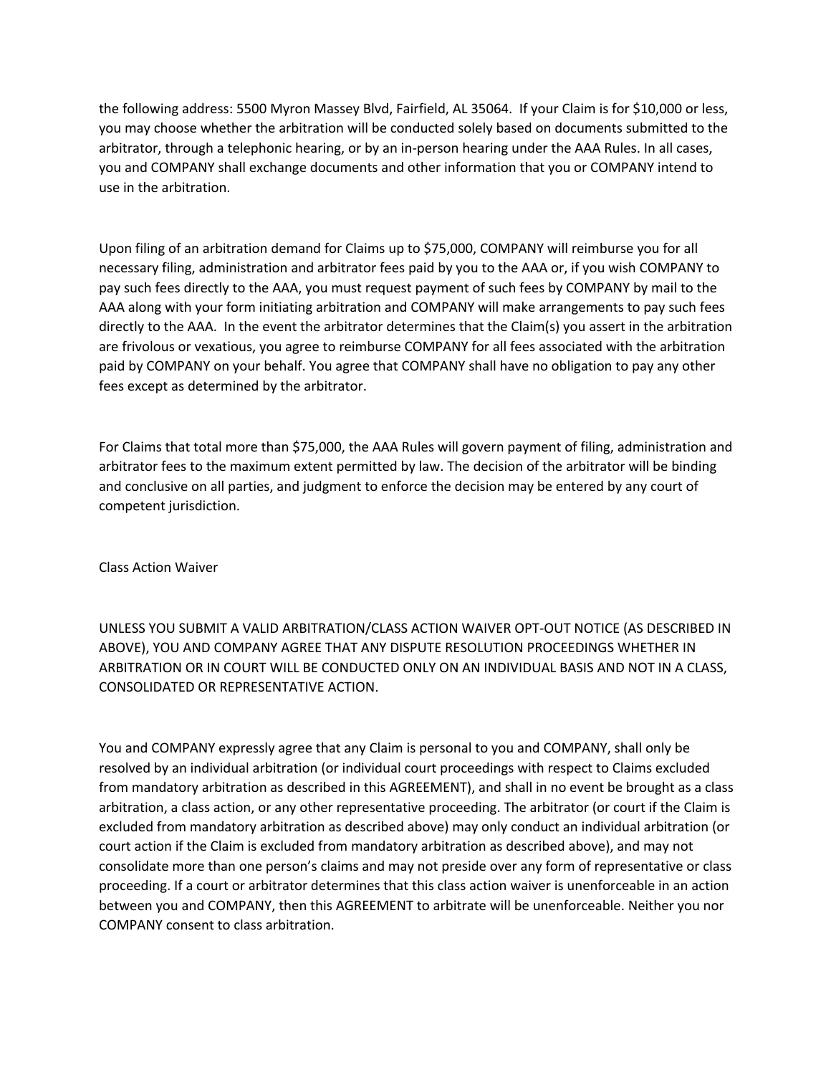the following address: 5500 Myron Massey Blvd, Fairfield, AL 35064. If your Claim is for \$10,000 or less, you may choose whether the arbitration will be conducted solely based on documents submitted to the arbitrator, through a telephonic hearing, or by an in-person hearing under the AAA Rules. In all cases, you and COMPANY shall exchange documents and other information that you or COMPANY intend to use in the arbitration.

Upon filing of an arbitration demand for Claims up to \$75,000, COMPANY will reimburse you for all necessary filing, administration and arbitrator fees paid by you to the AAA or, if you wish COMPANY to pay such fees directly to the AAA, you must request payment of such fees by COMPANY by mail to the AAA along with your form initiating arbitration and COMPANY will make arrangements to pay such fees directly to the AAA. In the event the arbitrator determines that the Claim(s) you assert in the arbitration are frivolous or vexatious, you agree to reimburse COMPANY for all fees associated with the arbitration paid by COMPANY on your behalf. You agree that COMPANY shall have no obligation to pay any other fees except as determined by the arbitrator.

For Claims that total more than \$75,000, the AAA Rules will govern payment of filing, administration and arbitrator fees to the maximum extent permitted by law. The decision of the arbitrator will be binding and conclusive on all parties, and judgment to enforce the decision may be entered by any court of competent jurisdiction.

Class Action Waiver

UNLESS YOU SUBMIT A VALID ARBITRATION/CLASS ACTION WAIVER OPT-OUT NOTICE (AS DESCRIBED IN ABOVE), YOU AND COMPANY AGREE THAT ANY DISPUTE RESOLUTION PROCEEDINGS WHETHER IN ARBITRATION OR IN COURT WILL BE CONDUCTED ONLY ON AN INDIVIDUAL BASIS AND NOT IN A CLASS, CONSOLIDATED OR REPRESENTATIVE ACTION.

You and COMPANY expressly agree that any Claim is personal to you and COMPANY, shall only be resolved by an individual arbitration (or individual court proceedings with respect to Claims excluded from mandatory arbitration as described in this AGREEMENT), and shall in no event be brought as a class arbitration, a class action, or any other representative proceeding. The arbitrator (or court if the Claim is excluded from mandatory arbitration as described above) may only conduct an individual arbitration (or court action if the Claim is excluded from mandatory arbitration as described above), and may not consolidate more than one person's claims and may not preside over any form of representative or class proceeding. If a court or arbitrator determines that this class action waiver is unenforceable in an action between you and COMPANY, then this AGREEMENT to arbitrate will be unenforceable. Neither you nor COMPANY consent to class arbitration.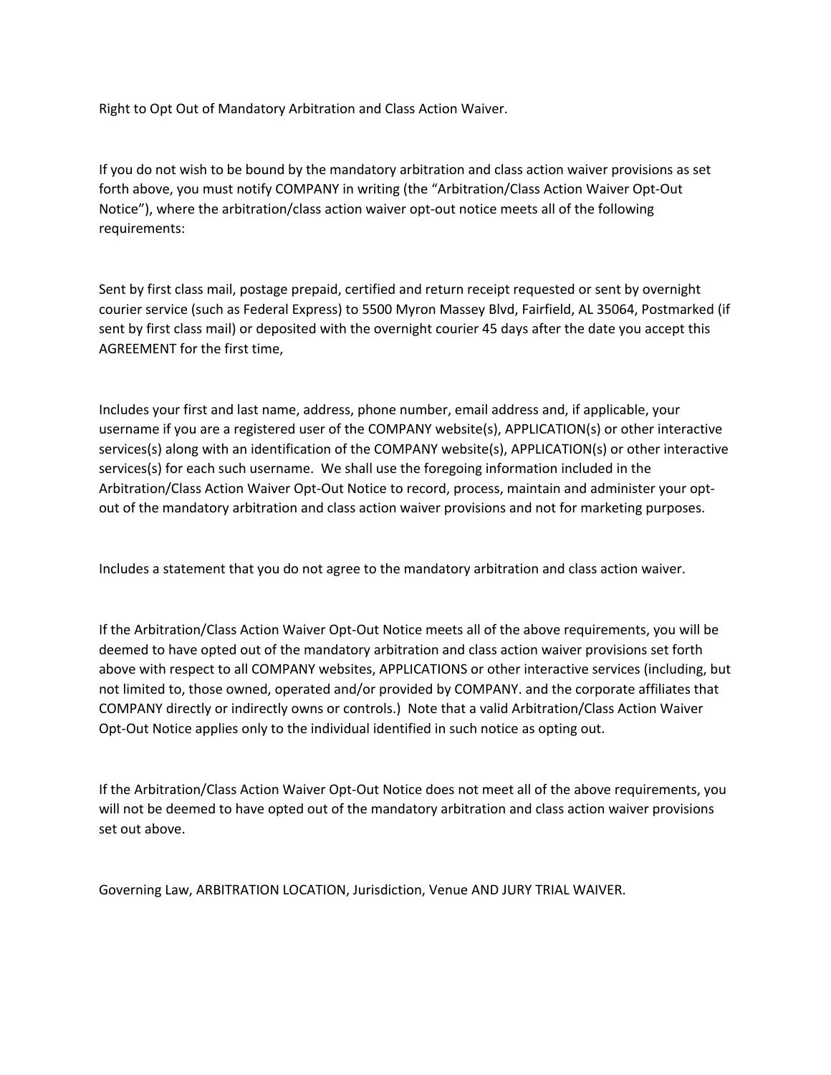Right to Opt Out of Mandatory Arbitration and Class Action Waiver.

If you do not wish to be bound by the mandatory arbitration and class action waiver provisions as set forth above, you must notify COMPANY in writing (the "Arbitration/Class Action Waiver Opt-Out Notice"), where the arbitration/class action waiver opt-out notice meets all of the following requirements:

Sent by first class mail, postage prepaid, certified and return receipt requested or sent by overnight courier service (such as Federal Express) to 5500 Myron Massey Blvd, Fairfield, AL 35064, Postmarked (if sent by first class mail) or deposited with the overnight courier 45 days after the date you accept this AGREEMENT for the first time,

Includes your first and last name, address, phone number, email address and, if applicable, your username if you are a registered user of the COMPANY website(s), APPLICATION(s) or other interactive services(s) along with an identification of the COMPANY website(s), APPLICATION(s) or other interactive services(s) for each such username. We shall use the foregoing information included in the Arbitration/Class Action Waiver Opt-Out Notice to record, process, maintain and administer your optout of the mandatory arbitration and class action waiver provisions and not for marketing purposes.

Includes a statement that you do not agree to the mandatory arbitration and class action waiver.

If the Arbitration/Class Action Waiver Opt-Out Notice meets all of the above requirements, you will be deemed to have opted out of the mandatory arbitration and class action waiver provisions set forth above with respect to all COMPANY websites, APPLICATIONS or other interactive services (including, but not limited to, those owned, operated and/or provided by COMPANY. and the corporate affiliates that COMPANY directly or indirectly owns or controls.) Note that a valid Arbitration/Class Action Waiver Opt-Out Notice applies only to the individual identified in such notice as opting out.

If the Arbitration/Class Action Waiver Opt-Out Notice does not meet all of the above requirements, you will not be deemed to have opted out of the mandatory arbitration and class action waiver provisions set out above.

Governing Law, ARBITRATION LOCATION, Jurisdiction, Venue AND JURY TRIAL WAIVER.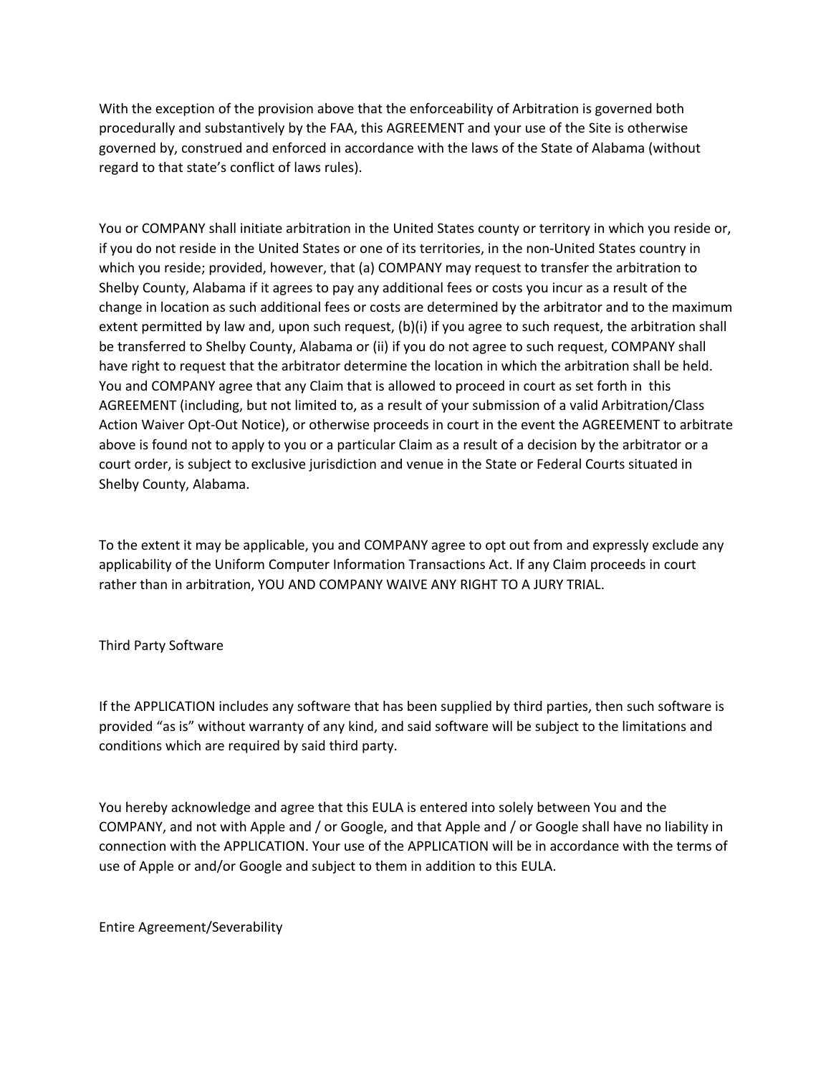With the exception of the provision above that the enforceability of Arbitration is governed both procedurally and substantively by the FAA, this AGREEMENT and your use of the Site is otherwise governed by, construed and enforced in accordance with the laws of the State of Alabama (without regard to that state's conflict of laws rules).

You or COMPANY shall initiate arbitration in the United States county or territory in which you reside or, if you do not reside in the United States or one of its territories, in the non-United States country in which you reside; provided, however, that (a) COMPANY may request to transfer the arbitration to Shelby County, Alabama if it agrees to pay any additional fees or costs you incur as a result of the change in location as such additional fees or costs are determined by the arbitrator and to the maximum extent permitted by law and, upon such request, (b)(i) if you agree to such request, the arbitration shall be transferred to Shelby County, Alabama or (ii) if you do not agree to such request, COMPANY shall have right to request that the arbitrator determine the location in which the arbitration shall be held. You and COMPANY agree that any Claim that is allowed to proceed in court as set forth in this AGREEMENT (including, but not limited to, as a result of your submission of a valid Arbitration/Class Action Waiver Opt-Out Notice), or otherwise proceeds in court in the event the AGREEMENT to arbitrate above is found not to apply to you or a particular Claim as a result of a decision by the arbitrator or a court order, is subject to exclusive jurisdiction and venue in the State or Federal Courts situated in Shelby County, Alabama.

To the extent it may be applicable, you and COMPANY agree to opt out from and expressly exclude any applicability of the Uniform Computer Information Transactions Act. If any Claim proceeds in court rather than in arbitration, YOU AND COMPANY WAIVE ANY RIGHT TO A JURY TRIAL.

# Third Party Software

If the APPLICATION includes any software that has been supplied by third parties, then such software is provided "as is" without warranty of any kind, and said software will be subject to the limitations and conditions which are required by said third party.

You hereby acknowledge and agree that this EULA is entered into solely between You and the COMPANY, and not with Apple and / or Google, and that Apple and / or Google shall have no liability in connection with the APPLICATION. Your use of the APPLICATION will be in accordance with the terms of use of Apple or and/or Google and subject to them in addition to this EULA.

Entire Agreement/Severability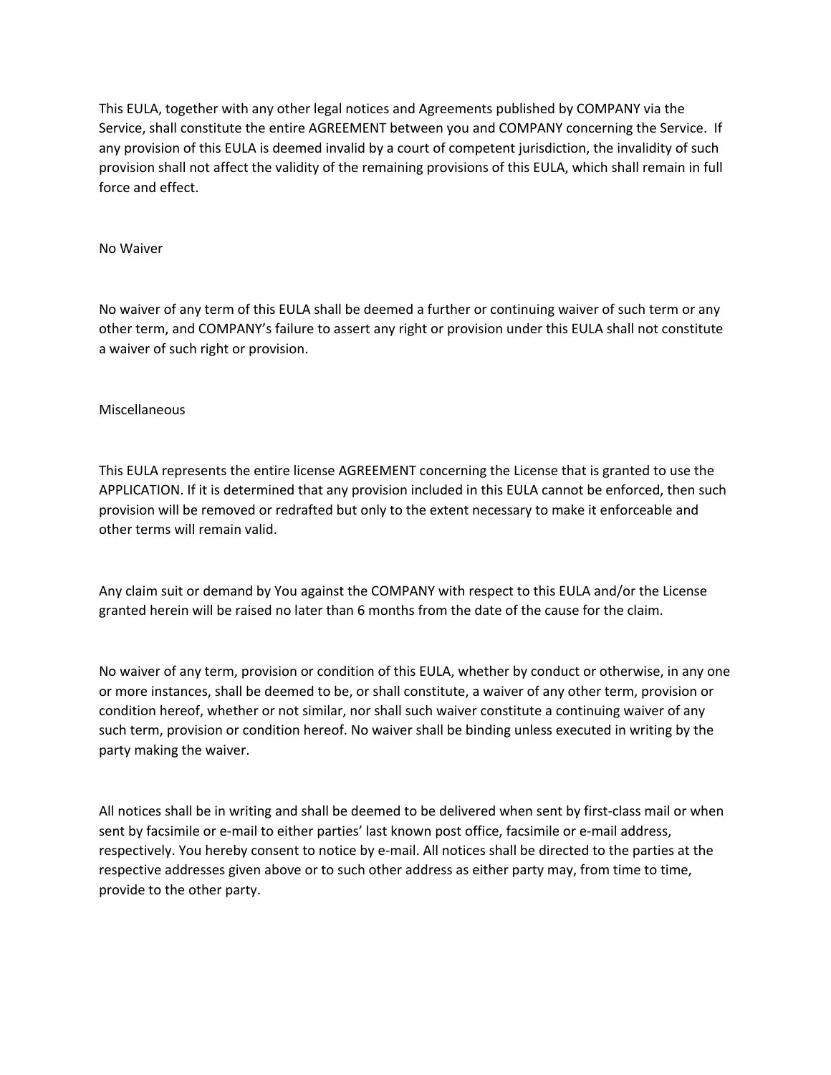This EULA, together with any other legal notices and Agreements published by COMPANY via the Service, shall constitute the entire AGREEMENT between you and COMPANY concerning the Service. If any provision of this EULA is deemed invalid by a court of competent jurisdiction, the invalidity of such provision shall not affect the validity of the remaining provisions of this EULA, which shall remain in full force and effect.

#### No Waiver

No waiver of any term of this EULA shall be deemed a further or continuing waiver of such term or any other term, and COMPANY's failure to assert any right or provision under this EULA shall not constitute a waiver of such right or provision.

## Miscellaneous

This EULA represents the entire license AGREEMENT concerning the License that is granted to use the APPLICATION. If it is determined that any provision included in this EULA cannot be enforced, then such provision will be removed or redrafted but only to the extent necessary to make it enforceable and other terms will remain valid.

Any claim suit or demand by You against the COMPANY with respect to this EULA and/or the License granted herein will be raised no later than 6 months from the date of the cause for the claim.

No waiver of any term, provision or condition of this EULA, whether by conduct or otherwise, in any one or more instances, shall be deemed to be, or shall constitute, a waiver of any other term, provision or condition hereof, whether or not similar, nor shall such waiver constitute a continuing waiver of any such term, provision or condition hereof. No waiver shall be binding unless executed in writing by the party making the waiver.

All notices shall be in writing and shall be deemed to be delivered when sent by first-class mail or when sent by facsimile or e-mail to either parties' last known post office, facsimile or e-mail address, respectively. You hereby consent to notice by e-mail. All notices shall be directed to the parties at the respective addresses given above or to such other address as either party may, from time to time, provide to the other party.